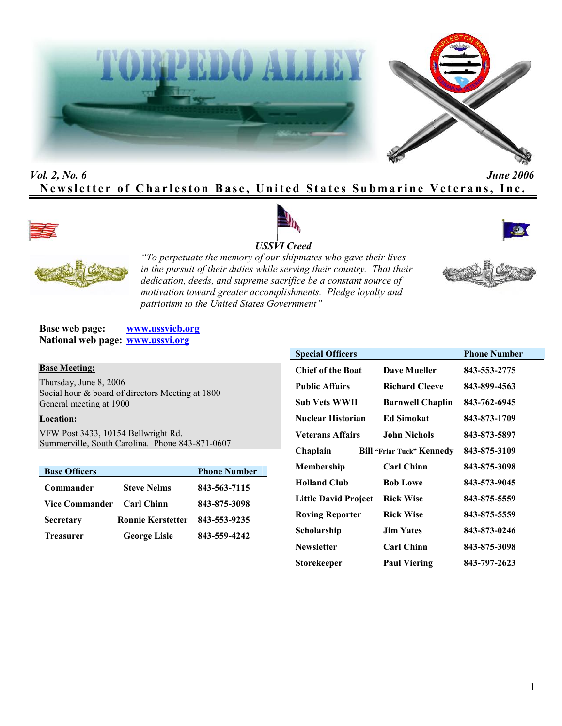



# *Vol. 2, No. 6 June 2006* **Newsletter of Charleston Base, United States Submarine Veterans, Inc.**









*"To perpetuate the memory of our shipmates who gave their lives in the pursuit of their duties while serving their country. That their dedication, deeds, and supreme sacrifice be a constant source of motivation toward greater accomplishments. Pledge loyalty and patriotism to the United States Government"*

**Base web page: www.ussvicb.org National web page: www.ussvi.org**

#### **Base Meeting:**

Thursday, June 8, 2006 Social hour & board of directors Meeting at 1800 General meeting at 1900

### **Location:**

VFW Post 3433, 10154 Bellwright Rd. Summerville, South Carolina. Phone 843-871-0607

| <b>Base Officers</b> |                          | <b>Phone Number</b> |
|----------------------|--------------------------|---------------------|
| Commander            | <b>Steve Nelms</b>       | 843-563-7115        |
| Vice Commander       | <b>Carl Chinn</b>        | 843-875-3098        |
| <b>Secretary</b>     | <b>Ronnie Kerstetter</b> | 843-553-9235        |
| <b>Treasurer</b>     | <b>George Lisle</b>      | 843-559-4242        |

| <b>Special Officers</b>  |                                  | <b>Phone Number</b> |
|--------------------------|----------------------------------|---------------------|
| <b>Chief of the Boat</b> | Dave Mueller                     | 843-553-2775        |
| <b>Public Affairs</b>    | <b>Richard Cleeve</b>            | 843-899-4563        |
| Sub Vets WWII            | <b>Barnwell Chaplin</b>          | 843-762-6945        |
| Nuclear Historian        | <b>Ed Simokat</b>                | 843-873-1709        |
| <b>Veterans Affairs</b>  | <b>John Nichols</b>              | 843-873-5897        |
| Chaplain                 | <b>Bill "Friar Tuck" Kennedy</b> | 843-875-3109        |
| Membership               | <b>Carl Chinn</b>                | 843-875-3098        |
| <b>Holland Club</b>      | <b>Bob Lowe</b>                  | 843-573-9045        |
| Little David Project     | <b>Rick Wise</b>                 | 843-875-5559        |
| <b>Roving Reporter</b>   | <b>Rick Wise</b>                 | 843-875-5559        |
| Scholarship              | <b>Jim Yates</b>                 | 843-873-0246        |
| <b>Newsletter</b>        | <b>Carl Chinn</b>                | 843-875-3098        |
| Storekeeper              | <b>Paul Viering</b>              | 843-797-2623        |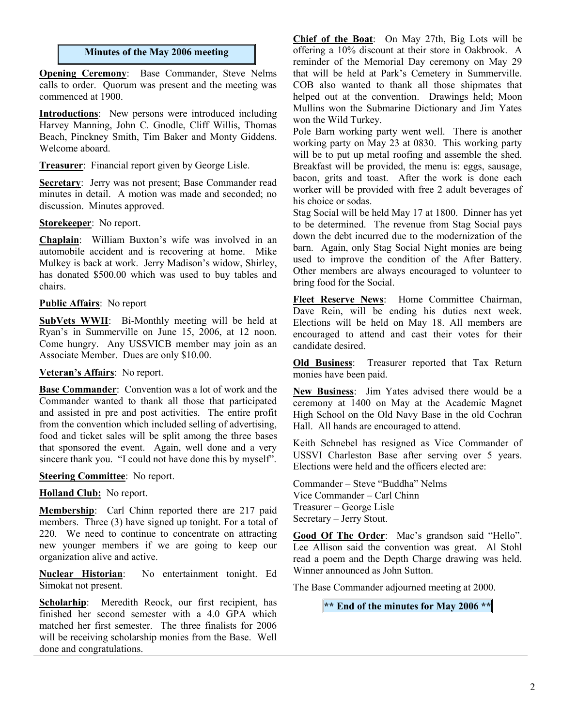### **Minutes of the May 2006 meeting**

**Opening Ceremony**: Base Commander, Steve Nelms calls to order. Quorum was present and the meeting was commenced at 1900.

**Introductions**: New persons were introduced including Harvey Manning, John C. Gnodle, Cliff Willis, Thomas Beach, Pinckney Smith, Tim Baker and Monty Giddens. Welcome aboard.

**Treasurer**: Financial report given by George Lisle.

**Secretary**: Jerry was not present; Base Commander read minutes in detail. A motion was made and seconded; no discussion. Minutes approved.

#### **Storekeeper**: No report.

**Chaplain**: William Buxton's wife was involved in an automobile accident and is recovering at home. Mike Mulkey is back at work. Jerry Madison's widow, Shirley, has donated \$500.00 which was used to buy tables and chairs.

### **Public Affairs**: No report

**SubVets WWII**: Bi-Monthly meeting will be held at Ryan's in Summerville on June 15, 2006, at 12 noon. Come hungry. Any USSVICB member may join as an Associate Member. Dues are only \$10.00.

### **Veteran's Affairs**: No report.

**Base Commander**: Convention was a lot of work and the Commander wanted to thank all those that participated and assisted in pre and post activities. The entire profit from the convention which included selling of advertising, food and ticket sales will be split among the three bases that sponsored the event. Again, well done and a very sincere thank you. "I could not have done this by myself".

### **Steering Committee**: No report.

**Holland Club:** No report.

**Membership**: Carl Chinn reported there are 217 paid members. Three (3) have signed up tonight. For a total of 220. We need to continue to concentrate on attracting new younger members if we are going to keep our organization alive and active.

**Nuclear Historian**: No entertainment tonight. Ed Simokat not present.

Scholarhip: Meredith Reock, our first recipient, has finished her second semester with a 4.0 GPA which matched her first semester. The three finalists for 2006 will be receiving scholarship monies from the Base. Well done and congratulations.

**Chief of the Boat**: On May 27th, Big Lots will be offering a 10% discount at their store in Oakbrook. A reminder of the Memorial Day ceremony on May 29 that will be held at Park's Cemetery in Summerville. COB also wanted to thank all those shipmates that helped out at the convention. Drawings held; Moon Mullins won the Submarine Dictionary and Jim Yates won the Wild Turkey.

Pole Barn working party went well. There is another working party on May 23 at 0830. This working party will be to put up metal roofing and assemble the shed. Breakfast will be provided, the menu is: eggs, sausage, bacon, grits and toast. After the work is done each worker will be provided with free 2 adult beverages of his choice or sodas.

Stag Social will be held May 17 at 1800. Dinner has yet to be determined. The revenue from Stag Social pays down the debt incurred due to the modernization of the barn. Again, only Stag Social Night monies are being used to improve the condition of the After Battery. Other members are always encouraged to volunteer to bring food for the Social.

**Fleet Reserve News**: Home Committee Chairman, Dave Rein, will be ending his duties next week. Elections will be held on May 18. All members are encouraged to attend and cast their votes for their candidate desired.

**Old Business**: Treasurer reported that Tax Return monies have been paid.

**New Business**: Jim Yates advised there would be a ceremony at 1400 on May at the Academic Magnet High School on the Old Navy Base in the old Cochran Hall. All hands are encouraged to attend.

Keith Schnebel has resigned as Vice Commander of USSVI Charleston Base after serving over 5 years. Elections were held and the officers elected are:

Commander – Steve "Buddha" Nelms Vice Commander – Carl Chinn Treasurer – George Lisle Secretary – Jerry Stout.

**Good Of The Order**: Mac's grandson said "Hello". Lee Allison said the convention was great. Al Stohl read a poem and the Depth Charge drawing was held. Winner announced as John Sutton.

The Base Commander adjourned meeting at 2000.

**\*\* End of the minutes for May 2006 \*\***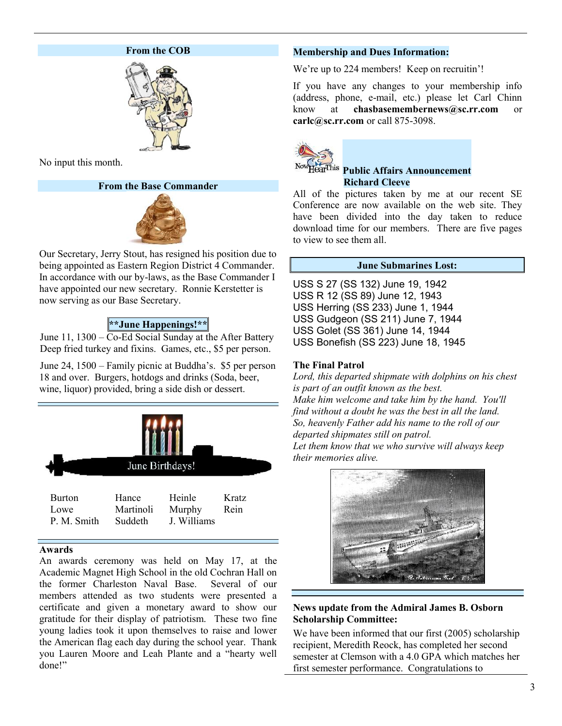### **From the COB**



No input this month.

### **From the Base Commander**



Our Secretary, Jerry Stout, has resigned his position due to being appointed as Eastern Region District 4 Commander. In accordance with our by-laws, as the Base Commander I have appointed our new secretary. Ronnie Kerstetter is now serving as our Base Secretary.

# **\*\*June Happenings!\*\***

June 11, 1300 – Co-Ed Social Sunday at the After Battery Deep fried turkey and fixins. Games, etc., \$5 per person.

June 24, 1500 – Family picnic at Buddha's. \$5 per person 18 and over. Burgers, hotdogs and drinks (Soda, beer, wine, liquor) provided, bring a side dish or dessert.



### **Awards**

An awards ceremony was held on May 17, at the Academic Magnet High School in the old Cochran Hall on the former Charleston Naval Base. Several of our members attended as two students were presented a certificate and given a monetary award to show our gratitude for their display of patriotism. These two fine young ladies took it upon themselves to raise and lower the American flag each day during the school year. Thank you Lauren Moore and Leah Plante and a "hearty well done!"

# **Membership and Dues Information:**

We're up to 224 members! Keep on recruitin'!

If you have any changes to your membership info (address, phone, e-mail, etc.) please let Carl Chinn know at **chasbasemembernews@sc.rr.com** or **carlc@sc.rr.com** or call 875-3098.



### **Public Affairs Announcement Richard Cleeve**

All of the pictures taken by me at our recent SE Conference are now available on the web site. They have been divided into the day taken to reduce download time for our members. There are five pages to view to see them all.

### **June Submarines Lost:**

USS S 27 (SS 132) June 19, 1942 USS R 12 (SS 89) June 12, 1943 USS Herring (SS 233) June 1, 1944 USS Gudgeon (SS 211) June 7, 1944 USS Golet (SS 361) June 14, 1944 USS Bonefish (SS 223) June 18, 1945

# **The Final Patrol**

*Lord, this departed shipmate with dolphins on his chest is part of an outfit known as the best. Make him welcome and take him by the hand. You'll find without a doubt he was the best in all the land. So, heavenly Father add his name to the roll of our departed shipmates still on patrol.*

*Let them know that we who survive will always keep their memories alive.*



# **News update from the Admiral James B. Osborn Scholarship Committee:**

We have been informed that our first (2005) scholarship recipient, Meredith Reock, has completed her second semester at Clemson with a 4.0 GPA which matches her first semester performance. Congratulations to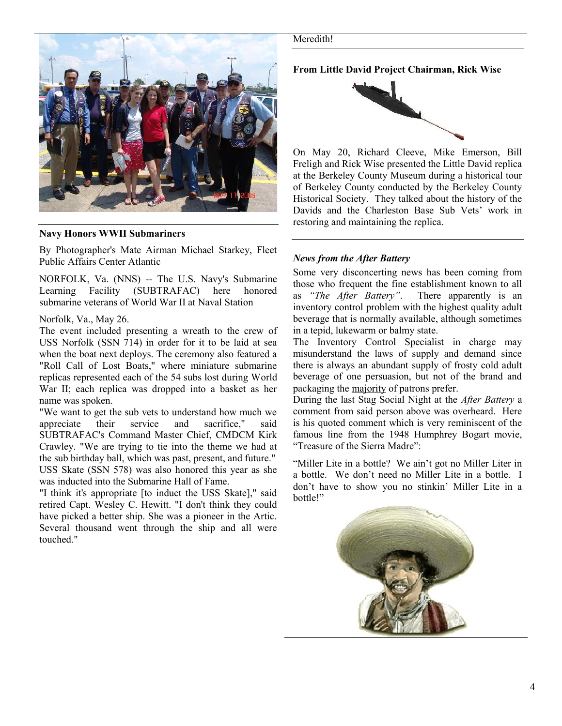

**Navy Honors WWII Submariners**

By Photographer's Mate Airman Michael Starkey, Fleet Public Affairs Center Atlantic

NORFOLK, Va. (NNS) -- The U.S. Navy's Submarine Learning Facility (SUBTRAFAC) here honored submarine veterans of World War II at Naval Station

# Norfolk, Va., May 26.

The event included presenting a wreath to the crew of USS Norfolk (SSN 714) in order for it to be laid at sea when the boat next deploys. The ceremony also featured a "Roll Call of Lost Boats," where miniature submarine replicas represented each of the 54 subs lost during World War II; each replica was dropped into a basket as her name was spoken.

"We want to get the sub vets to understand how much we appreciate their service and sacrifice," said SUBTRAFAC's Command Master Chief, CMDCM Kirk Crawley. "We are trying to tie into the theme we had at the sub birthday ball, which was past, present, and future." USS Skate (SSN 578) was also honored this year as she was inducted into the Submarine Hall of Fame.

"I think it's appropriate [to induct the USS Skate]," said retired Capt. Wesley C. Hewitt. "I don't think they could have picked a better ship. She was a pioneer in the Artic. Several thousand went through the ship and all were touched."

#### Meredith!

**From Little David Project Chairman, Rick Wise**



On May 20, Richard Cleeve, Mike Emerson, Bill Freligh and Rick Wise presented the Little David replica at the Berkeley County Museum during a historical tour of Berkeley County conducted by the Berkeley County Historical Society. They talked about the history of the Davids and the Charleston Base Sub Vets' work in restoring and maintaining the replica.

# *News from the After Battery*

Some very disconcerting news has been coming from those who frequent the fine establishment known to all as *"The After Battery"*. There apparently is an inventory control problem with the highest quality adult beverage that is normally available, although sometimes in a tepid, lukewarm or balmy state.

The Inventory Control Specialist in charge may misunderstand the laws of supply and demand since there is always an abundant supply of frosty cold adult beverage of one persuasion, but not of the brand and packaging the majority of patrons prefer.

During the last Stag Social Night at the *After Battery* a comment from said person above was overheard. Here is his quoted comment which is very reminiscent of the famous line from the 1948 Humphrey Bogart movie, "Treasure of the Sierra Madre":

"Miller Lite in a bottle? We ain't got no Miller Liter in a bottle. We don't need no Miller Lite in a bottle. I don't have to show you no stinkin' Miller Lite in a bottle!"

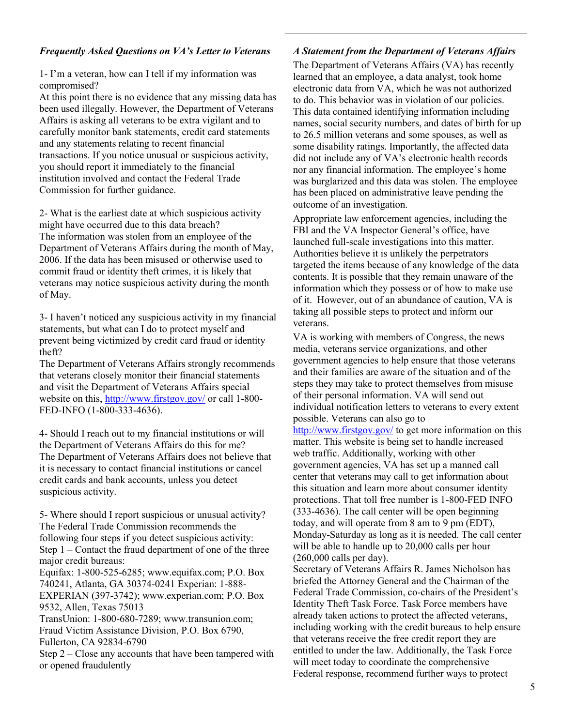### *Frequently Asked Questions on VA's Letter to Veterans*

1- I'm a veteran, how can I tell if my information was compromised?

At this point there is no evidence that any missing data has been used illegally. However, the Department of Veterans Affairs is asking all veterans to be extra vigilant and to carefully monitor bank statements, credit card statements and any statements relating to recent financial transactions. If you notice unusual or suspicious activity, you should report it immediately to the financial institution involved and contact the Federal Trade Commission for further guidance.

2- What is the earliest date at which suspicious activity might have occurred due to this data breach? The information was stolen from an employee of the Department of Veterans Affairs during the month of May, 2006. If the data has been misused or otherwise used to commit fraud or identity theft crimes, it is likely that veterans may notice suspicious activity during the month of May.

3- I haven't noticed any suspicious activity in my financial statements, but what can I do to protect myself and prevent being victimized by credit card fraud or identity theft?

The Department of Veterans Affairs strongly recommends that veterans closely monitor their financial statements and visit the Department of Veterans Affairs special website on this, http://www.firstgov.gov/ or call 1-800-FED-INFO (1-800-333-4636).

4- Should I reach out to my financial institutions or will the Department of Veterans Affairs do this for me? The Department of Veterans Affairs does not believe that it is necessary to contact financial institutions or cancel credit cards and bank accounts, unless you detect suspicious activity.

5- Where should I report suspicious or unusual activity? The Federal Trade Commission recommends the following four steps if you detect suspicious activity: Step 1 – Contact the fraud department of one of the three major credit bureaus: Equifax: 1-800-525-6285; www.equifax.com; P.O. Box

740241, Atlanta, GA 30374-0241 Experian: 1-888- EXPERIAN (397-3742); www.experian.com; P.O. Box 9532, Allen, Texas 75013

TransUnion: 1-800-680-7289; www.transunion.com; Fraud Victim Assistance Division, P.O. Box 6790, Fullerton, CA 92834-6790

Step 2 – Close any accounts that have been tampered with or opened fraudulently

### *A Statement from the Department of Veterans Affairs*

The Department of Veterans Affairs (VA) has recently learned that an employee, a data analyst, took home electronic data from VA, which he was not authorized to do. This behavior was in violation of our policies. This data contained identifying information including names, social security numbers, and dates of birth for up to 26.5 million veterans and some spouses, as well as some disability ratings. Importantly, the affected data did not include any of VA's electronic health records nor any financial information. The employee's home was burglarized and this data was stolen. The employee has been placed on administrative leave pending the outcome of an investigation.

Appropriate law enforcement agencies, including the FBI and the VA Inspector General's office, have launched full-scale investigations into this matter. Authorities believe it is unlikely the perpetrators targeted the items because of any knowledge of the data contents. It is possible that they remain unaware of the information which they possess or of how to make use of it. However, out of an abundance of caution, VA is taking all possible steps to protect and inform our veterans.

VA is working with members of Congress, the news media, veterans service organizations, and other government agencies to help ensure that those veterans and their families are aware of the situation and of the steps they may take to protect themselves from misuse of their personal information. VA will send out individual notification letters to veterans to every extent possible. Veterans can also go to

http://www.firstgov.gov/ to get more information on this matter. This website is being set to handle increased web traffic. Additionally, working with other government agencies, VA has set up a manned call center that veterans may call to get information about this situation and learn more about consumer identity protections. That toll free number is 1-800-FED INFO (333-4636). The call center will be open beginning today, and will operate from 8 am to 9 pm (EDT), Monday-Saturday as long as it is needed. The call center will be able to handle up to 20,000 calls per hour (260,000 calls per day).

Secretary of Veterans Affairs R. James Nicholson has briefed the Attorney General and the Chairman of the Federal Trade Commission, co-chairs of the President's Identity Theft Task Force. Task Force members have already taken actions to protect the affected veterans, including working with the credit bureaus to help ensure that veterans receive the free credit report they are entitled to under the law. Additionally, the Task Force will meet today to coordinate the comprehensive Federal response, recommend further ways to protect